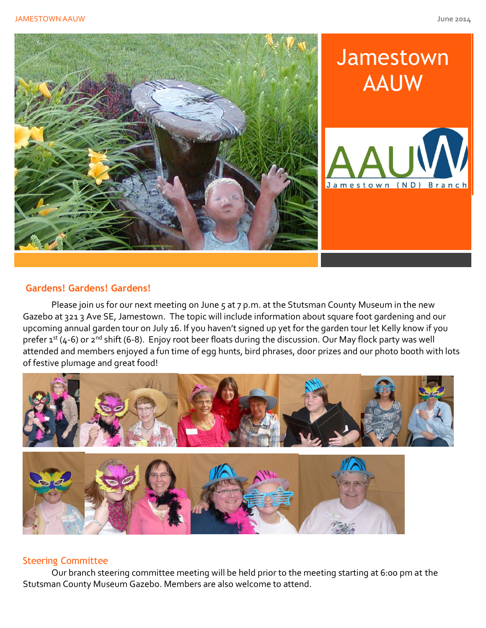

# **Jamestown** AAUW



# **Gardens! Gardens! Gardens!**

Please join us for our next meeting on June 5 at 7 p.m. at the Stutsman County Museum in the new Gazebo at 321 3 Ave SE, Jamestown. The topic will include information about square foot gardening and our upcoming annual garden tour on July 16. If you haven't signed up yet for the garden tour let Kelly know if you prefer 1st (4-6) or 2<sup>nd</sup> shift (6-8). Enjoy root beer floats during the discussion. Our May flock party was well attended and members enjoyed a fun time of egg hunts, bird phrases, door prizes and our photo booth with lots of festive plumage and great food!



# Steering Committee

Our branch steering committee meeting will be held prior to the meeting starting at 6:00 pm at the Stutsman County Museum Gazebo. Members are also welcome to attend.